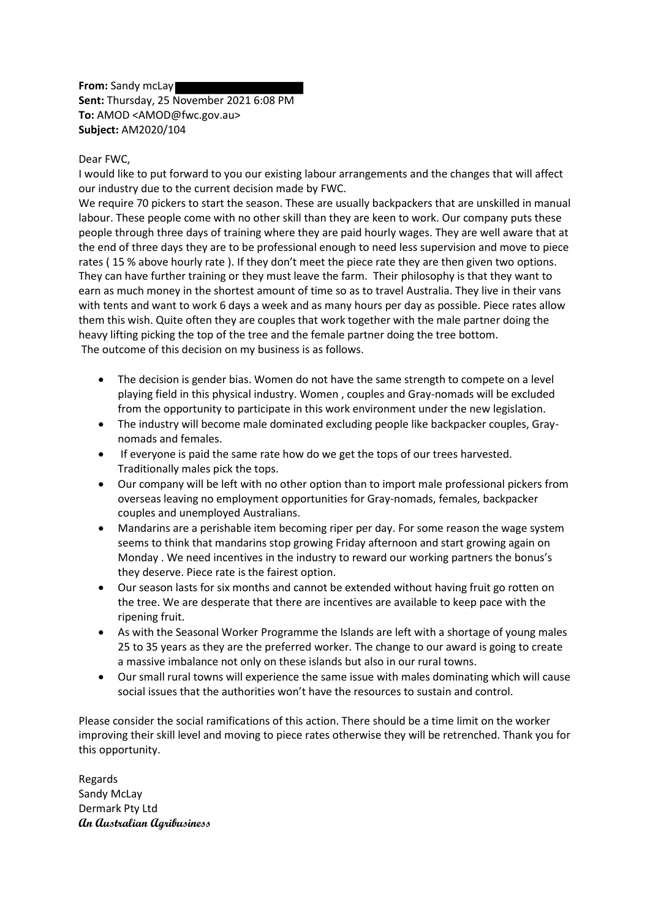**From:** Sandy mcLay **Sent:** Thursday, 25 November 2021 6:08 PM **To:** AMOD <AMOD@fwc.gov.au> **Subject:** AM2020/104

## Dear FWC,

I would like to put forward to you our existing labour arrangements and the changes that will affect our industry due to the current decision made by FWC.

We require 70 pickers to start the season. These are usually backpackers that are unskilled in manual labour. These people come with no other skill than they are keen to work. Our company puts these people through three days of training where they are paid hourly wages. They are well aware that at the end of three days they are to be professional enough to need less supervision and move to piece rates ( 15 % above hourly rate ). If they don't meet the piece rate they are then given two options. They can have further training or they must leave the farm. Their philosophy is that they want to earn as much money in the shortest amount of time so as to travel Australia. They live in their vans with tents and want to work 6 days a week and as many hours per day as possible. Piece rates allow them this wish. Quite often they are couples that work together with the male partner doing the heavy lifting picking the top of the tree and the female partner doing the tree bottom. The outcome of this decision on my business is as follows.

- The decision is gender bias. Women do not have the same strength to compete on a level playing field in this physical industry. Women , couples and Gray-nomads will be excluded from the opportunity to participate in this work environment under the new legislation.
- The industry will become male dominated excluding people like backpacker couples, Graynomads and females.
- If everyone is paid the same rate how do we get the tops of our trees harvested. Traditionally males pick the tops.
- Our company will be left with no other option than to import male professional pickers from overseas leaving no employment opportunities for Gray-nomads, females, backpacker couples and unemployed Australians.
- Mandarins are a perishable item becoming riper per day. For some reason the wage system seems to think that mandarins stop growing Friday afternoon and start growing again on Monday . We need incentives in the industry to reward our working partners the bonus's they deserve. Piece rate is the fairest option.
- Our season lasts for six months and cannot be extended without having fruit go rotten on the tree. We are desperate that there are incentives are available to keep pace with the ripening fruit.
- As with the Seasonal Worker Programme the Islands are left with a shortage of young males 25 to 35 years as they are the preferred worker. The change to our award is going to create a massive imbalance not only on these islands but also in our rural towns.
- Our small rural towns will experience the same issue with males dominating which will cause social issues that the authorities won't have the resources to sustain and control.

Please consider the social ramifications of this action. There should be a time limit on the worker improving their skill level and moving to piece rates otherwise they will be retrenched. Thank you for this opportunity.

Regards Sandy McLay Dermark Pty Ltd **An Australian Agribusiness**